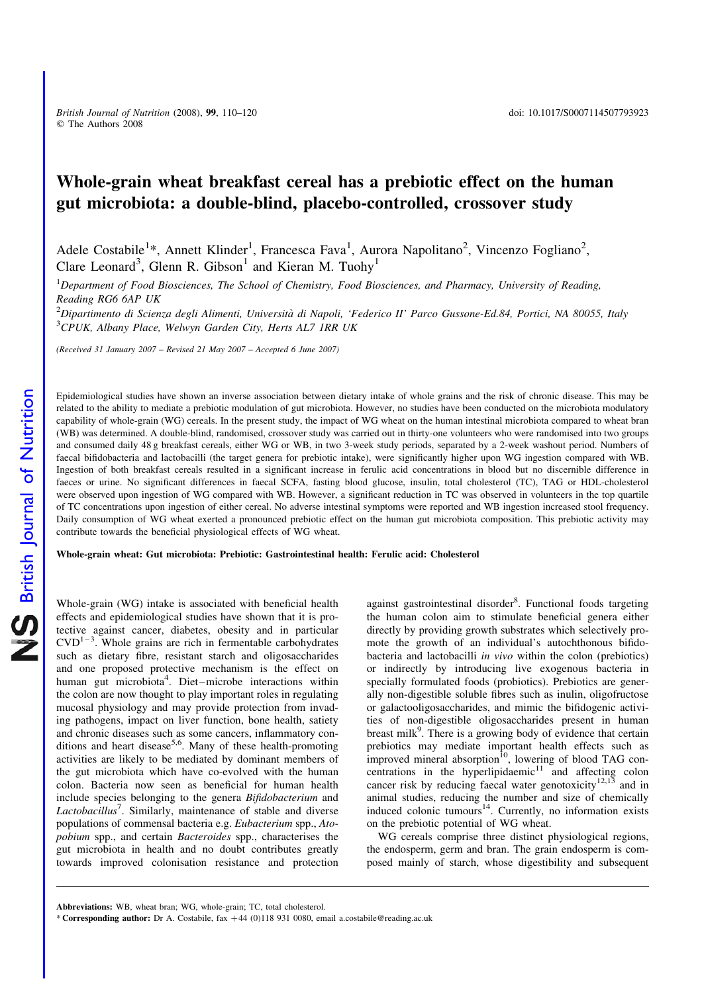# Whole-grain wheat breakfast cereal has a prebiotic effect on the human gut microbiota: a double-blind, placebo-controlled, crossover study

Adele Costabile<sup>1</sup>\*, Annett Klinder<sup>1</sup>, Francesca Fava<sup>1</sup>, Aurora Napolitano<sup>2</sup>, Vincenzo Fogliano<sup>2</sup>, Clare Leonard<sup>3</sup>, Glenn R. Gibson<sup>1</sup> and Kieran M. Tuohy<sup>1</sup>

 ${}^{1}$ Department of Food Biosciences, The School of Chemistry, Food Biosciences, and Pharmacy, University of Reading, Reading RG6 6AP UK

 $^2$ Dipartimento di Scienza degli Alimenti, Università di Napoli, 'Federico II' Parco Gussone-Ed.84, Portici, NA 80055, Italy <sup>3</sup>CPUK, Albany Place, Welwyn Garden City, Herts AL7 1RR UK

(Received 31 January 2007 – Revised 21 May 2007 – Accepted 6 June 2007)

Epidemiological studies have shown an inverse association between dietary intake of whole grains and the risk of chronic disease. This may be related to the ability to mediate a prebiotic modulation of gut microbiota. However, no studies have been conducted on the microbiota modulatory capability of whole-grain (WG) cereals. In the present study, the impact of WG wheat on the human intestinal microbiota compared to wheat bran (WB) was determined. A double-blind, randomised, crossover study was carried out in thirty-one volunteers who were randomised into two groups and consumed daily 48 g breakfast cereals, either WG or WB, in two 3-week study periods, separated by a 2-week washout period. Numbers of faecal bifidobacteria and lactobacilli (the target genera for prebiotic intake), were significantly higher upon WG ingestion compared with WB. Ingestion of both breakfast cereals resulted in a significant increase in ferulic acid concentrations in blood but no discernible difference in faeces or urine. No significant differences in faecal SCFA, fasting blood glucose, insulin, total cholesterol (TC), TAG or HDL-cholesterol were observed upon ingestion of WG compared with WB. However, a significant reduction in TC was observed in volunteers in the top quartile of TC concentrations upon ingestion of either cereal. No adverse intestinal symptoms were reported and WB ingestion increased stool frequency. Daily consumption of WG wheat exerted a pronounced prebiotic effect on the human gut microbiota composition. This prebiotic activity may contribute towards the beneficial physiological effects of WG wheat.

Whole-grain wheat: Gut microbiota: Prebiotic: Gastrointestinal health: Ferulic acid: Cholesterol

Whole-grain (WG) intake is associated with beneficial health effects and epidemiological studies have shown that it is protective against cancer, diabetes, obesity and in particular  $CVD^{1-3}$ . Whole grains are rich in fermentable carbohydrates such as dietary fibre, resistant starch and oligosaccharides and one proposed protective mechanism is the effect on human gut microbiota<sup>4</sup>. Diet-microbe interactions within the colon are now thought to play important roles in regulating mucosal physiology and may provide protection from invading pathogens, impact on liver function, bone health, satiety and chronic diseases such as some cancers, inflammatory conditions and heart disease<sup>5,6</sup>. Many of these health-promoting activities are likely to be mediated by dominant members of the gut microbiota which have co-evolved with the human colon. Bacteria now seen as beneficial for human health include species belonging to the genera Bifidobacterium and Lactobacillus<sup>7</sup>. Similarly, maintenance of stable and diverse populations of commensal bacteria e.g. Eubacterium spp., Atopobium spp., and certain Bacteroides spp., characterises the gut microbiota in health and no doubt contributes greatly towards improved colonisation resistance and protection

against gastrointestinal disorder<sup>8</sup>. Functional foods targeting the human colon aim to stimulate beneficial genera either directly by providing growth substrates which selectively promote the growth of an individual's autochthonous bifidobacteria and lactobacilli in vivo within the colon (prebiotics) or indirectly by introducing live exogenous bacteria in specially formulated foods (probiotics). Prebiotics are generally non-digestible soluble fibres such as inulin, oligofructose or galactooligosaccharides, and mimic the bifidogenic activities of non-digestible oligosaccharides present in human breast milk<sup>9</sup>. There is a growing body of evidence that certain prebiotics may mediate important health effects such as improved mineral absorption<sup>10</sup>, lowering of blood TAG concentrations in the hyperlipidaemic $11$  and affecting colon cancer risk by reducing faecal water genotoxicity<sup>12,13</sup> and in animal studies, reducing the number and size of chemically induced colonic tumours<sup>14</sup>. Currently, no information exists on the prebiotic potential of WG wheat.

WG cereals comprise three distinct physiological regions, the endosperm, germ and bran. The grain endosperm is composed mainly of starch, whose digestibility and subsequent

Abbreviations: WB, wheat bran; WG, whole-grain; TC, total cholesterol.

<sup>\*</sup> Corresponding author: Dr A. Costabile, fax +44 (0)118 931 0080, email a.costabile@reading.ac.uk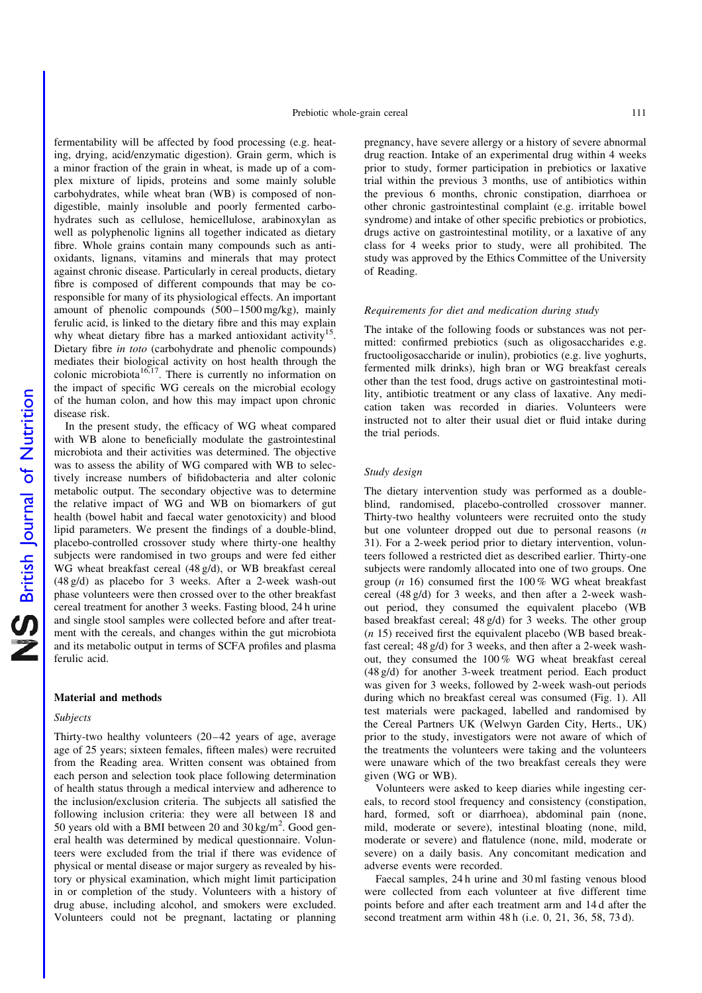fermentability will be affected by food processing (e.g. heating, drying, acid/enzymatic digestion). Grain germ, which is a minor fraction of the grain in wheat, is made up of a complex mixture of lipids, proteins and some mainly soluble carbohydrates, while wheat bran (WB) is composed of nondigestible, mainly insoluble and poorly fermented carbohydrates such as cellulose, hemicellulose, arabinoxylan as well as polyphenolic lignins all together indicated as dietary fibre. Whole grains contain many compounds such as antioxidants, lignans, vitamins and minerals that may protect against chronic disease. Particularly in cereal products, dietary fibre is composed of different compounds that may be coresponsible for many of its physiological effects. An important amount of phenolic compounds  $(500-1500 \text{ mg/kg})$ , mainly ferulic acid, is linked to the dietary fibre and this may explain why wheat dietary fibre has a marked antioxidant activity<sup>15</sup>. Dietary fibre in toto (carbohydrate and phenolic compounds) mediates their biological activity on host health through the colonic microbiota<sup>16,17</sup>. There is currently no information on the impact of specific WG cereals on the microbial ecology of the human colon, and how this may impact upon chronic disease risk.

In the present study, the efficacy of WG wheat compared with WB alone to beneficially modulate the gastrointestinal microbiota and their activities was determined. The objective was to assess the ability of WG compared with WB to selectively increase numbers of bifidobacteria and alter colonic metabolic output. The secondary objective was to determine the relative impact of WG and WB on biomarkers of gut health (bowel habit and faecal water genotoxicity) and blood lipid parameters. We present the findings of a double-blind, placebo-controlled crossover study where thirty-one healthy subjects were randomised in two groups and were fed either WG wheat breakfast cereal (48 g/d), or WB breakfast cereal (48 g/d) as placebo for 3 weeks. After a 2-week wash-out phase volunteers were then crossed over to the other breakfast cereal treatment for another 3 weeks. Fasting blood, 24 h urine and single stool samples were collected before and after treatment with the cereals, and changes within the gut microbiota and its metabolic output in terms of SCFA profiles and plasma ferulic acid.

# Material and methods

## Subjects

Thirty-two healthy volunteers  $(20-42)$  years of age, average age of 25 years; sixteen females, fifteen males) were recruited from the Reading area. Written consent was obtained from each person and selection took place following determination of health status through a medical interview and adherence to the inclusion/exclusion criteria. The subjects all satisfied the following inclusion criteria: they were all between 18 and 50 years old with a BMI between 20 and 30 kg/m<sup>2</sup>. Good general health was determined by medical questionnaire. Volunteers were excluded from the trial if there was evidence of physical or mental disease or major surgery as revealed by history or physical examination, which might limit participation in or completion of the study. Volunteers with a history of drug abuse, including alcohol, and smokers were excluded. Volunteers could not be pregnant, lactating or planning pregnancy, have severe allergy or a history of severe abnormal drug reaction. Intake of an experimental drug within 4 weeks prior to study, former participation in prebiotics or laxative trial within the previous 3 months, use of antibiotics within the previous 6 months, chronic constipation, diarrhoea or other chronic gastrointestinal complaint (e.g. irritable bowel syndrome) and intake of other specific prebiotics or probiotics, drugs active on gastrointestinal motility, or a laxative of any class for 4 weeks prior to study, were all prohibited. The study was approved by the Ethics Committee of the University of Reading.

#### Requirements for diet and medication during study

The intake of the following foods or substances was not permitted: confirmed prebiotics (such as oligosaccharides e.g. fructooligosaccharide or inulin), probiotics (e.g. live yoghurts, fermented milk drinks), high bran or WG breakfast cereals other than the test food, drugs active on gastrointestinal motility, antibiotic treatment or any class of laxative. Any medication taken was recorded in diaries. Volunteers were instructed not to alter their usual diet or fluid intake during the trial periods.

# Study design

The dietary intervention study was performed as a doubleblind, randomised, placebo-controlled crossover manner. Thirty-two healthy volunteers were recruited onto the study but one volunteer dropped out due to personal reasons  $(n)$ 31). For a 2-week period prior to dietary intervention, volunteers followed a restricted diet as described earlier. Thirty-one subjects were randomly allocated into one of two groups. One group  $(n 16)$  consumed first the 100 % WG wheat breakfast cereal (48 g/d) for 3 weeks, and then after a 2-week washout period, they consumed the equivalent placebo (WB based breakfast cereal; 48 g/d) for 3 weeks. The other group (n 15) received first the equivalent placebo (WB based breakfast cereal; 48 g/d) for 3 weeks, and then after a 2-week washout, they consumed the 100 % WG wheat breakfast cereal (48 g/d) for another 3-week treatment period. Each product was given for 3 weeks, followed by 2-week wash-out periods during which no breakfast cereal was consumed (Fig. 1). All test materials were packaged, labelled and randomised by the Cereal Partners UK (Welwyn Garden City, Herts., UK) prior to the study, investigators were not aware of which of the treatments the volunteers were taking and the volunteers were unaware which of the two breakfast cereals they were given (WG or WB).

Volunteers were asked to keep diaries while ingesting cereals, to record stool frequency and consistency (constipation, hard, formed, soft or diarrhoea), abdominal pain (none, mild, moderate or severe), intestinal bloating (none, mild, moderate or severe) and flatulence (none, mild, moderate or severe) on a daily basis. Any concomitant medication and adverse events were recorded.

Faecal samples, 24 h urine and 30 ml fasting venous blood were collected from each volunteer at five different time points before and after each treatment arm and 14 d after the second treatment arm within 48 h (i.e. 0, 21, 36, 58, 73 d).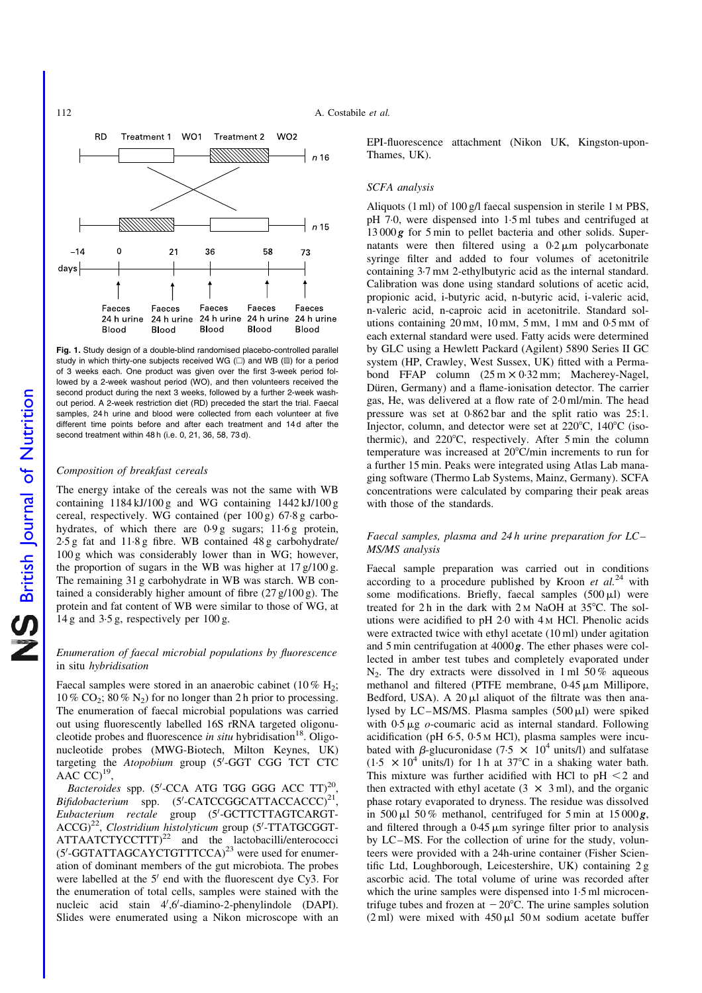112 A. Costabile et al.



Fig. 1. Study design of a double-blind randomised placebo-controlled parallel study in which thirty-one subjects received WG ( $\square$ ) and WB ( $\overset{\text{\tiny{(N)}}}{\otimes}$ ) for a period of 3 weeks each. One product was given over the first 3-week period followed by a 2-week washout period (WO), and then volunteers received the second product during the next 3 weeks, followed by a further 2-week washout period. A 2-week restriction diet (RD) preceded the start the trial. Faecal samples, 24 h urine and blood were collected from each volunteer at five different time points before and after each treatment and 14d after the second treatment within 48 h (i.e. 0, 21, 36, 58, 73 d).

# Composition of breakfast cereals

The energy intake of the cereals was not the same with WB containing  $1184 \text{ kJ}/100 \text{ g}$  and WG containing  $1442 \text{ kJ}/100 \text{ g}$ cereal, respectively. WG contained (per  $100 \text{ g}$ )  $67.8 \text{ g}$  carbohydrates, of which there are 0.9 g sugars; 11.6 g protein, 2·5 g fat and 11·8 g fibre. WB contained 48 g carbohydrate/ 100 g which was considerably lower than in WG; however, the proportion of sugars in the WB was higher at  $17 g/100 g$ . The remaining 31 g carbohydrate in WB was starch. WB contained a considerably higher amount of fibre (27 g/100 g). The protein and fat content of WB were similar to those of WG, at  $14$  g and  $3.5$  g, respectively per  $100$  g.

# Enumeration of faecal microbial populations by fluorescence in situ hybridisation

Faecal samples were stored in an anaerobic cabinet (10  $\%$  H<sub>2</sub>;  $10\%$  CO<sub>2</sub>;  $80\%$  N<sub>2</sub>) for no longer than 2 h prior to processing. The enumeration of faecal microbial populations was carried out using fluorescently labelled 16S rRNA targeted oligonucleotide probes and fluorescence in situ hybridisation<sup>18</sup>. Oligonucleotide probes (MWG-Biotech, Milton Keynes, UK) targeting the Atopobium group (5'-GGT CGG TCT CTC AAC  $CC$ <sup>19</sup>,

Bacteroides spp.  $(5^\prime$ -CCA ATG TGG GGG ACC TT)<sup>20</sup>, Bifidobacterium spp.  $(5'-CATCCGGCATTACCACCC)^{21}$ , Eubacterium rectale group (5'-GCTTCTTAGTCARGT-ACCG)<sup>22</sup>, Clostridium histolyticum group (5'-TTATGCGGT- $ATTAATCTYCCTTT$ <sup>22</sup> and the lactobacilli/enterococci (5'-GGTATTAGCAYCTGTTTCCA)<sup>23</sup> were used for enumeration of dominant members of the gut microbiota. The probes were labelled at the  $5'$  end with the fluorescent dye Cy3. For the enumeration of total cells, samples were stained with the nucleic acid stain 4',6'-diamino-2-phenylindole (DAPI). Slides were enumerated using a Nikon microscope with an

EPI-fluorescence attachment (Nikon UK, Kingston-upon-Thames, UK).

## SCFA analysis

Aliquots (1 ml) of 100 g/l faecal suspension in sterile 1 M PBS, pH 7·0, were dispensed into 1·5 ml tubes and centrifuged at  $13000 \, \text{g}$  for 5 min to pellet bacteria and other solids. Supernatants were then filtered using a  $0.2 \mu m$  polycarbonate syringe filter and added to four volumes of acetonitrile containing 3·7 mM 2-ethylbutyric acid as the internal standard. Calibration was done using standard solutions of acetic acid, propionic acid, i-butyric acid, n-butyric acid, i-valeric acid, n-valeric acid, n-caproic acid in acetonitrile. Standard solutions containing 20 mM, 10 mM, 5mM, 1mM and 0·5 mM of each external standard were used. Fatty acids were determined by GLC using a Hewlett Packard (Agilent) 5890 Series II GC system (HP, Crawley, West Sussex, UK) fitted with a Permabond FFAP column  $(25 \text{ m} \times 0.32 \text{ mm})$ ; Macherey-Nagel, Düren, Germany) and a flame-ionisation detector. The carrier gas, He, was delivered at a flow rate of 2·0 ml/min. The head pressure was set at 0·862 bar and the split ratio was 25:1. Injector, column, and detector were set at  $220^{\circ}$ C,  $140^{\circ}$ C (isothermic), and  $220^{\circ}$ C, respectively. After 5 min the column temperature was increased at  $20^{\circ}$ C/min increments to run for a further 15 min. Peaks were integrated using Atlas Lab managing software (Thermo Lab Systems, Mainz, Germany). SCFA concentrations were calculated by comparing their peak areas with those of the standards.

# Faecal samples, plasma and 24 h urine preparation for LC– MS/MS analysis

Faecal sample preparation was carried out in conditions according to a procedure published by Kroon et  $al.^{24}$  with some modifications. Briefly, faecal samples  $(500 \,\mu\text{I})$  were treated for 2h in the dark with  $2M$  NaOH at  $35^{\circ}$ C. The solutions were acidified to pH 2·0 with 4 M HCl. Phenolic acids were extracted twice with ethyl acetate (10 ml) under agitation and 5 min centrifugation at  $4000\,\text{g}$ . The ether phases were collected in amber test tubes and completely evaporated under  $N_2$ . The dry extracts were dissolved in 1 ml 50% aqueous methanol and filtered (PTFE membrane,  $0.45 \mu m$  Millipore, Bedford, USA). A  $20 \mu l$  aliquot of the filtrate was then analysed by LC-MS/MS. Plasma samples  $(500 \,\mu\text{I})$  were spiked with  $0.5 \mu$ g *o*-coumaric acid as internal standard. Following acidification (pH 6·5, 0·5 M HCl), plasma samples were incubated with  $\beta$ -glucuronidase (7.5  $\times$  10<sup>4</sup> units/l) and sulfatase  $(1.5 \times 10^4 \text{ units/l})$  for 1 h at 37°C in a shaking water bath. This mixture was further acidified with HCl to  $pH < 2$  and then extracted with ethyl acetate  $(3 \times 3 \text{ ml})$ , and the organic phase rotary evaporated to dryness. The residue was dissolved in 500  $\mu$ 1 50 % methanol, centrifuged for 5 min at 15 000 g, and filtered through a  $0.45 \mu m$  syringe filter prior to analysis by LC –MS. For the collection of urine for the study, volunteers were provided with a 24h-urine container (Fisher Scientific Ltd, Loughborough, Leicestershire, UK) containing 2 g ascorbic acid. The total volume of urine was recorded after which the urine samples were dispensed into 1.5 ml microcentrifuge tubes and frozen at  $-20^{\circ}$ C. The urine samples solution (2 ml) were mixed with  $450 \mu l$  50 M sodium acetate buffer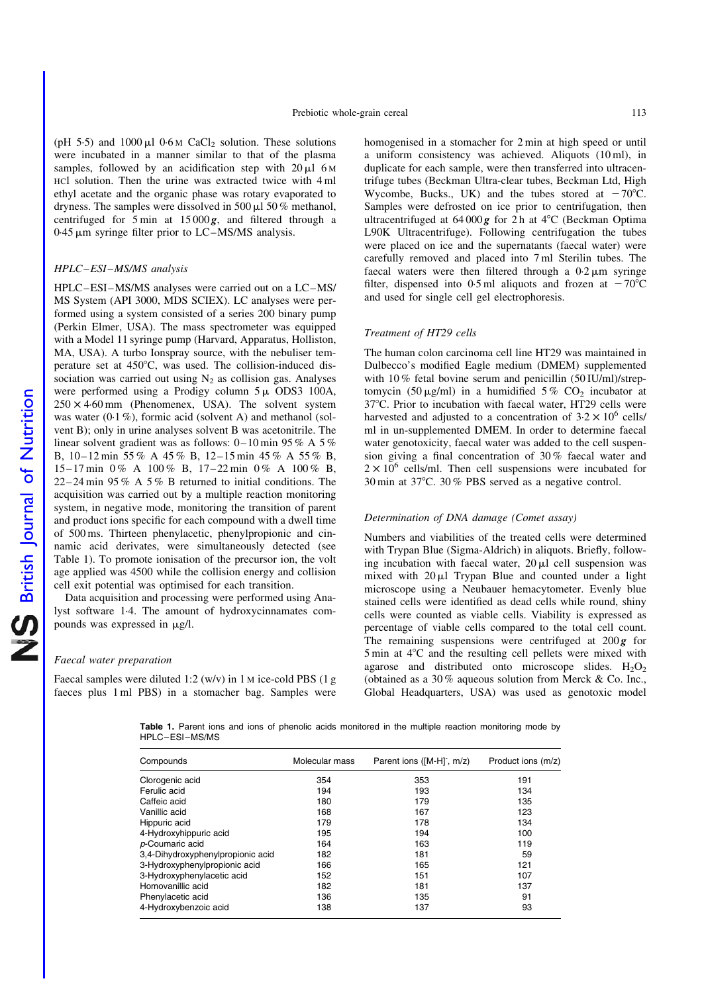(pH 5.5) and  $1000 \mu$ l 0.6 M CaCl<sub>2</sub> solution. These solutions were incubated in a manner similar to that of the plasma samples, followed by an acidification step with  $20 \mu$ l 6 M HCl solution. Then the urine was extracted twice with 4 ml ethyl acetate and the organic phase was rotary evaporated to dryness. The samples were dissolved in 500  $\mu$ 1 50 % methanol, centrifuged for  $\overline{5}$  min at  $15000g$ , and filtered through a  $0.45 \mu m$  syringe filter prior to LC-MS/MS analysis.

# HPLC–ESI–MS/MS analysis

HPLC-ESI-MS/MS analyses were carried out on a LC-MS/ MS System (API 3000, MDS SCIEX). LC analyses were performed using a system consisted of a series 200 binary pump (Perkin Elmer, USA). The mass spectrometer was equipped with a Model 11 syringe pump (Harvard, Apparatus, Holliston, MA, USA). A turbo Ionspray source, with the nebuliser temperature set at 450°C, was used. The collision-induced dissociation was carried out using  $N_2$  as collision gas. Analyses were performed using a Prodigy column  $5 \mu$  ODS3 100A,  $250 \times 4.60$  mm (Phenomenex, USA). The solvent system was water  $(0.1\%)$ , formic acid (solvent A) and methanol (solvent B); only in urine analyses solvent B was acetonitrile. The linear solvent gradient was as follows:  $0-10$  min 95% A 5% B, 10– 12 min 55 % A 45 % B, 12 –15 min 45 % A 55 % B, 15 –17 min 0 % A 100 % B, 17–22 min 0 % A 100 % B, 22 –24 min 95 % A 5 % B returned to initial conditions. The acquisition was carried out by a multiple reaction monitoring system, in negative mode, monitoring the transition of parent and product ions specific for each compound with a dwell time of 500 ms. Thirteen phenylacetic, phenylpropionic and cinnamic acid derivates, were simultaneously detected (see Table 1). To promote ionisation of the precursor ion, the volt age applied was 4500 while the collision energy and collision cell exit potential was optimised for each transition.

Data acquisition and processing were performed using Analyst software 1·4. The amount of hydroxycinnamates compounds was expressed in  $\mu$ g/l.

### Faecal water preparation

Faecal samples were diluted 1:2 (w/v) in 1 M ice-cold PBS (1 g faeces plus 1 ml PBS) in a stomacher bag. Samples were homogenised in a stomacher for 2 min at high speed or until a uniform consistency was achieved. Aliquots (10 ml), in duplicate for each sample, were then transferred into ultracentrifuge tubes (Beckman Ultra-clear tubes, Beckman Ltd, High Wycombe, Bucks., UK) and the tubes stored at  $-70^{\circ}$ C. Samples were defrosted on ice prior to centrifugation, then ultracentrifuged at  $64\,000\,\text{g}$  for 2 h at  $4^{\circ}\text{C}$  (Beckman Optima L90K Ultracentrifuge). Following centrifugation the tubes were placed on ice and the supernatants (faecal water) were carefully removed and placed into 7 ml Sterilin tubes. The faecal waters were then filtered through a  $0.2 \mu m$  syringe filter, dispensed into 0.5 ml aliquots and frozen at  $-70^{\circ}$ C and used for single cell gel electrophoresis.

# Treatment of HT29 cells

The human colon carcinoma cell line HT29 was maintained in Dulbecco's modified Eagle medium (DMEM) supplemented with 10 % fetal bovine serum and penicillin (50 IU/ml)/streptomycin (50  $\mu$ g/ml) in a humidified 5% CO<sub>2</sub> incubator at 37°C. Prior to incubation with faecal water, HT29 cells were harvested and adjusted to a concentration of  $3.2 \times 10^6$  cells/ ml in un-supplemented DMEM. In order to determine faecal water genotoxicity, faecal water was added to the cell suspension giving a final concentration of 30 % faecal water and  $2 \times 10^6$  cells/ml. Then cell suspensions were incubated for 30 min at 37°C. 30 % PBS served as a negative control.

#### Determination of DNA damage (Comet assay)

Numbers and viabilities of the treated cells were determined with Trypan Blue (Sigma-Aldrich) in aliquots. Briefly, following incubation with faecal water,  $20 \mu l$  cell suspension was mixed with 20  $\mu$ l Trypan Blue and counted under a light microscope using a Neubauer hemacytometer. Evenly blue stained cells were identified as dead cells while round, shiny cells were counted as viable cells. Viability is expressed as percentage of viable cells compared to the total cell count. The remaining suspensions were centrifuged at  $200g$  for  $5 \text{ min}$  at  $4^{\circ}$ C and the resulting cell pellets were mixed with agarose and distributed onto microscope slides.  $H_2O_2$ (obtained as a 30 % aqueous solution from Merck & Co. Inc., Global Headquarters, USA) was used as genotoxic model

Table 1. Parent ions and ions of phenolic acids monitored in the multiple reaction monitoring mode by HPLC–ESI–MS/MS

| Compounds                         | Molecular mass | Parent ions ([M-H], m/z) | Product ions (m/z) |  |
|-----------------------------------|----------------|--------------------------|--------------------|--|
| Clorogenic acid                   | 354            | 353                      | 191                |  |
| Ferulic acid                      | 194            | 193                      | 134                |  |
| Caffeic acid                      | 180            | 179                      | 135                |  |
| Vanillic acid                     | 168            | 167                      | 123                |  |
| Hippuric acid                     | 179            | 178                      | 134                |  |
| 4-Hydroxyhippuric acid            | 195            | 194                      | 100                |  |
| p-Coumaric acid                   | 164            | 163                      | 119                |  |
| 3.4-Dihydroxyphenylpropionic acid | 182            | 181                      | 59                 |  |
| 3-Hydroxyphenylpropionic acid     | 166            | 165                      | 121                |  |
| 3-Hydroxyphenylacetic acid        | 152            | 151                      | 107                |  |
| Homovanillic acid                 | 182            | 181                      | 137                |  |
| Phenylacetic acid                 | 136            | 135                      | 91                 |  |
| 4-Hydroxybenzoic acid             | 138            | 137                      | 93                 |  |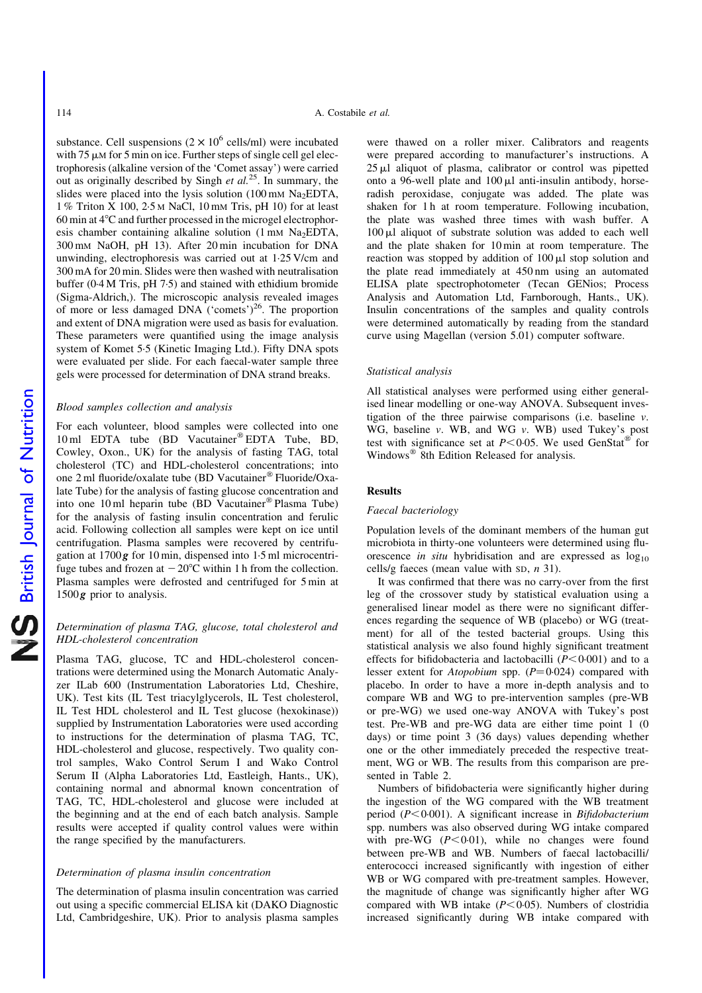substance. Cell suspensions  $(2 \times 10^6 \text{ cells/ml})$  were incubated with 75  $\mu$ M for 5 min on ice. Further steps of single cell gel electrophoresis (alkaline version of the 'Comet assay') were carried out as originally described by Singh et  $al^{25}$ . In summary, the slides were placed into the lysis solution (100 mm  $Na<sub>2</sub>EDTA$ , 1 % Triton X 100, 2·5 M NaCl, 10 mM Tris, pH 10) for at least  $60$  min at  $4^{\circ}$ C and further processed in the microgel electrophoresis chamber containing alkaline solution (1 mM Na2EDTA, 300 mM NaOH, pH 13). After 20 min incubation for DNA unwinding, electrophoresis was carried out at 1·25 V/cm and 300 mA for 20 min. Slides were then washed with neutralisation buffer (0·4 M Tris, pH 7·5) and stained with ethidium bromide (Sigma-Aldrich,). The microscopic analysis revealed images of more or less damaged DNA  $\sim$  ('comets')<sup>26</sup>. The proportion and extent of DNA migration were used as basis for evaluation. These parameters were quantified using the image analysis system of Komet 5·5 (Kinetic Imaging Ltd.). Fifty DNA spots were evaluated per slide. For each faecal-water sample three gels were processed for determination of DNA strand breaks.

## Blood samples collection and analysis

For each volunteer, blood samples were collected into one 10 ml EDTA tube (BD Vacutainer® EDTA Tube, BD, Cowley, Oxon., UK) for the analysis of fasting TAG, total cholesterol (TC) and HDL-cholesterol concentrations; into one 2 ml fluoride/oxalate tube (BD Vacutainer<sup>®</sup> Fluoride/Oxalate Tube) for the analysis of fasting glucose concentration and into one 10 ml heparin tube (BD Vacutainer® Plasma Tube) for the analysis of fasting insulin concentration and ferulic acid. Following collection all samples were kept on ice until centrifugation. Plasma samples were recovered by centrifugation at  $1700\,\text{g}$  for 10 min, dispensed into 1.5 ml microcentrifuge tubes and frozen at  $-20^{\circ}$ C within 1 h from the collection. Plasma samples were defrosted and centrifuged for 5 min at  $1500$  g prior to analysis.

# Determination of plasma TAG, glucose, total cholesterol and HDL-cholesterol concentration

Plasma TAG, glucose, TC and HDL-cholesterol concentrations were determined using the Monarch Automatic Analyzer ILab 600 (Instrumentation Laboratories Ltd, Cheshire, UK). Test kits (IL Test triacylglycerols, IL Test cholesterol, IL Test HDL cholesterol and IL Test glucose (hexokinase)) supplied by Instrumentation Laboratories were used according to instructions for the determination of plasma TAG, TC, HDL-cholesterol and glucose, respectively. Two quality control samples, Wako Control Serum I and Wako Control Serum II (Alpha Laboratories Ltd, Eastleigh, Hants., UK), containing normal and abnormal known concentration of TAG, TC, HDL-cholesterol and glucose were included at the beginning and at the end of each batch analysis. Sample results were accepted if quality control values were within the range specified by the manufacturers.

#### Determination of plasma insulin concentration

The determination of plasma insulin concentration was carried out using a specific commercial ELISA kit (DAKO Diagnostic Ltd, Cambridgeshire, UK). Prior to analysis plasma samples

were thawed on a roller mixer. Calibrators and reagents were prepared according to manufacturer's instructions. A  $25 \mu l$  aliquot of plasma, calibrator or control was pipetted onto a 96-well plate and  $100 \mu l$  anti-insulin antibody, horseradish peroxidase, conjugate was added. The plate was shaken for 1 h at room temperature. Following incubation, the plate was washed three times with wash buffer. A  $100 \mu l$  aliquot of substrate solution was added to each well and the plate shaken for 10 min at room temperature. The reaction was stopped by addition of  $100 \mu$ l stop solution and the plate read immediately at 450 nm using an automated ELISA plate spectrophotometer (Tecan GENios; Process Analysis and Automation Ltd, Farnborough, Hants., UK). Insulin concentrations of the samples and quality controls were determined automatically by reading from the standard curve using Magellan (version 5.01) computer software.

## Statistical analysis

All statistical analyses were performed using either generalised linear modelling or one-way ANOVA. Subsequent investigation of the three pairwise comparisons (i.e. baseline v. WG, baseline  $v$ . WB, and WG  $v$ . WB) used Tukey's post test with significance set at  $P < 0.05$ . We used GenStat<sup>®</sup> for Windows<sup>®</sup> 8th Edition Released for analysis.

#### **Results**

# Faecal bacteriology

Population levels of the dominant members of the human gut microbiota in thirty-one volunteers were determined using fluorescence *in situ* hybridisation and are expressed as  $log_{10}$ cells/g faeces (mean value with  $SD$ ,  $n$  31).

It was confirmed that there was no carry-over from the first leg of the crossover study by statistical evaluation using a generalised linear model as there were no significant differences regarding the sequence of WB (placebo) or WG (treatment) for all of the tested bacterial groups. Using this statistical analysis we also found highly significant treatment effects for bifidobacteria and lactobacilli  $(P<0.001)$  and to a lesser extent for Atopobium spp.  $(P=0.024)$  compared with placebo. In order to have a more in-depth analysis and to compare WB and WG to pre-intervention samples (pre-WB or pre-WG) we used one-way ANOVA with Tukey's post test. Pre-WB and pre-WG data are either time point 1 (0 days) or time point 3 (36 days) values depending whether one or the other immediately preceded the respective treatment, WG or WB. The results from this comparison are presented in Table 2.

Numbers of bifidobacteria were significantly higher during the ingestion of the WG compared with the WB treatment period  $(P<0.001)$ . A significant increase in *Bifidobacterium* spp. numbers was also observed during WG intake compared with pre-WG  $(P<0.01)$ , while no changes were found between pre-WB and WB. Numbers of faecal lactobacilli/ enterococci increased significantly with ingestion of either WB or WG compared with pre-treatment samples. However, the magnitude of change was significantly higher after WG compared with WB intake  $(P<0.05)$ . Numbers of clostridia increased significantly during WB intake compared with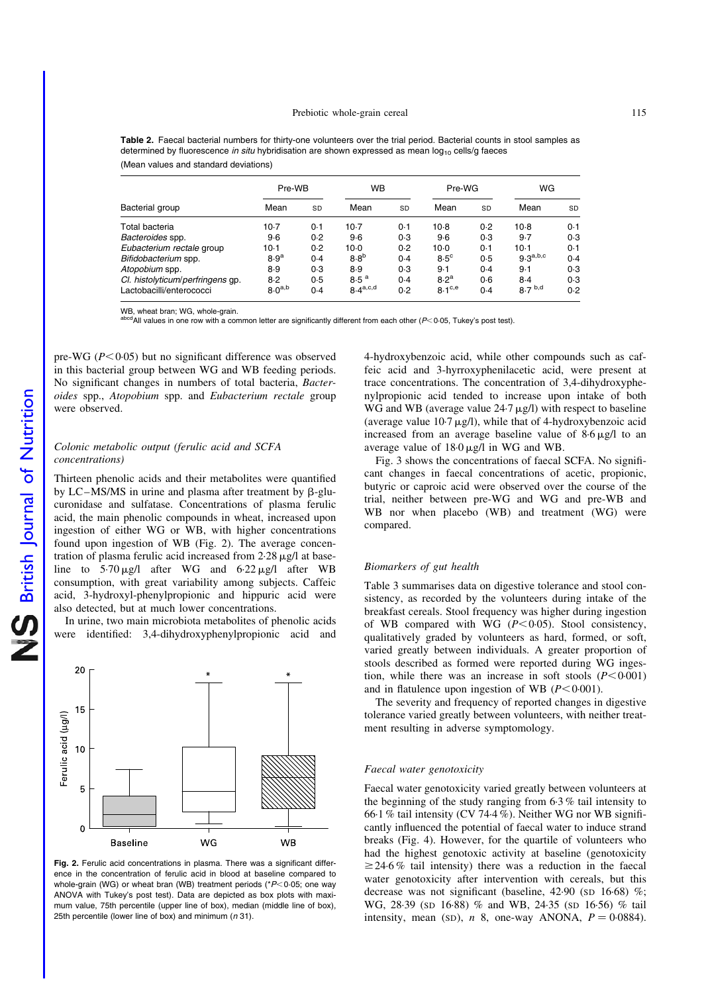| Bacterial group                  | Pre-WB           |     | <b>WB</b>        |     | Pre-WG             |       | WG          |     |
|----------------------------------|------------------|-----|------------------|-----|--------------------|-------|-------------|-----|
|                                  | Mean             | SD  | Mean             | SD  | Mean               | SD    | Mean        | SD  |
| Total bacteria                   | $10-7$           | 0.1 | $10-7$           | 0.1 | $10-8$             | 0.2   | $10-8$      | 0.1 |
| Bacteroides spp.                 | 9.6              | 0.2 | $9-6$            | 0.3 | $9-6$              | 0.3   | 9.7         | 0.3 |
| Eubacterium rectale group        | $10-1$           | 0.2 | $10-0$           | 0.2 | $10-0$             | 0.1   | $10-1$      | 0.1 |
| Bifidobacterium spp.             | 8.9 <sup>a</sup> | 0.4 | 8.8 <sup>b</sup> | 0.4 | 8.5 <sup>c</sup>   | 0.5   | 9.3a,b,c    | 0.4 |
| Atopobium spp.                   | 8.9              | 0.3 | 8.9              | 0.3 | 9.1                | 0.4   | 9.1         | 0.3 |
| Cl. histolyticum/perfringens gp. | 8.2              | 0.5 | 8.5 <sup>a</sup> | 0.4 | 8.2 <sup>a</sup>   | 0.6   | $8-4$       | 0.3 |
| Lactobacilli/enterococci         | $8.0^{a,b}$      | 0.4 | $8.4^{a,c,d}$    | 0.2 | $8.1^{\text{c,e}}$ | $0-4$ | $8.7^{b,d}$ | 0.2 |

Table 2. Faecal bacterial numbers for thirty-one volunteers over the trial period. Bacterial counts in stool samples as determined by fluorescence in situ hybridisation are shown expressed as mean  $log_{10}$  cells/g faeces (Mean values and standard deviations)

WB, wheat bran; WG, whole-grain.

 $^{2d}$ All values in one row with a common letter are significantly different from each other (P<0·05, Tukey's post test).

pre-WG ( $P < 0.05$ ) but no significant difference was observed in this bacterial group between WG and WB feeding periods. No significant changes in numbers of total bacteria, Bacteroides spp., Atopobium spp. and Eubacterium rectale group were observed.

# Colonic metabolic output (ferulic acid and SCFA concentrations)

Thirteen phenolic acids and their metabolites were quantified by  $LC-MS/MS$  in urine and plasma after treatment by  $\beta$ -glucuronidase and sulfatase. Concentrations of plasma ferulic acid, the main phenolic compounds in wheat, increased upon ingestion of either WG or WB, with higher concentrations found upon ingestion of WB (Fig. 2). The average concentration of plasma ferulic acid increased from  $2.28 \mu g/l$  at baseline to  $5.70 \,\mu\text{g/l}$  after WG and  $6.22 \,\mu\text{g/l}$  after WB consumption, with great variability among subjects. Caffeic acid, 3-hydroxyl-phenylpropionic and hippuric acid were also detected, but at much lower concentrations.

In urine, two main microbiota metabolites of phenolic acids were identified: 3,4-dihydroxyphenylpropionic acid and



Fig. 2. Ferulic acid concentrations in plasma. There was a significant difference in the concentration of ferulic acid in blood at baseline compared to whole-grain (WG) or wheat bran (WB) treatment periods  $(*P<0.05;$  one way ANOVA with Tukey's post test). Data are depicted as box plots with maximum value, 75th percentile (upper line of box), median (middle line of box), 25th percentile (lower line of box) and minimum  $(n 31)$ .

4-hydroxybenzoic acid, while other compounds such as caffeic acid and 3-hyrroxyphenilacetic acid, were present at trace concentrations. The concentration of 3,4-dihydroxyphenylpropionic acid tended to increase upon intake of both WG and WB (average value  $24.7 \mu g/l$ ) with respect to baseline (average value  $10.7 \mu g/l$ ), while that of 4-hydroxybenzoic acid increased from an average baseline value of  $8.6 \mu g/l$  to an average value of  $18.0 \mu g/l$  in WG and WB.

Fig. 3 shows the concentrations of faecal SCFA. No significant changes in faecal concentrations of acetic, propionic, butyric or caproic acid were observed over the course of the trial, neither between pre-WG and WG and pre-WB and WB nor when placebo (WB) and treatment (WG) were compared.

# Biomarkers of gut health

Table 3 summarises data on digestive tolerance and stool consistency, as recorded by the volunteers during intake of the breakfast cereals. Stool frequency was higher during ingestion of WB compared with WG  $(P<0.05)$ . Stool consistency, qualitatively graded by volunteers as hard, formed, or soft, varied greatly between individuals. A greater proportion of stools described as formed were reported during WG ingestion, while there was an increase in soft stools  $(P<0.001)$ and in flatulence upon ingestion of WB  $(P<0.001)$ .

The severity and frequency of reported changes in digestive tolerance varied greatly between volunteers, with neither treatment resulting in adverse symptomology.

#### Faecal water genotoxicity

Faecal water genotoxicity varied greatly between volunteers at the beginning of the study ranging from 6·3 % tail intensity to 66·1 % tail intensity (CV 74·4 %). Neither WG nor WB significantly influenced the potential of faecal water to induce strand breaks (Fig. 4). However, for the quartile of volunteers who had the highest genotoxic activity at baseline (genotoxicity  $\geq$ 24.6 % tail intensity) there was a reduction in the faecal water genotoxicity after intervention with cereals, but this decrease was not significant (baseline, 42.90 (SD 16.68) %; WG, 28·39 (SD 16·88) % and WB, 24·35 (SD 16·56) % tail intensity, mean (SD),  $n \ 8$ , one-way ANONA,  $P = 0.0884$ ).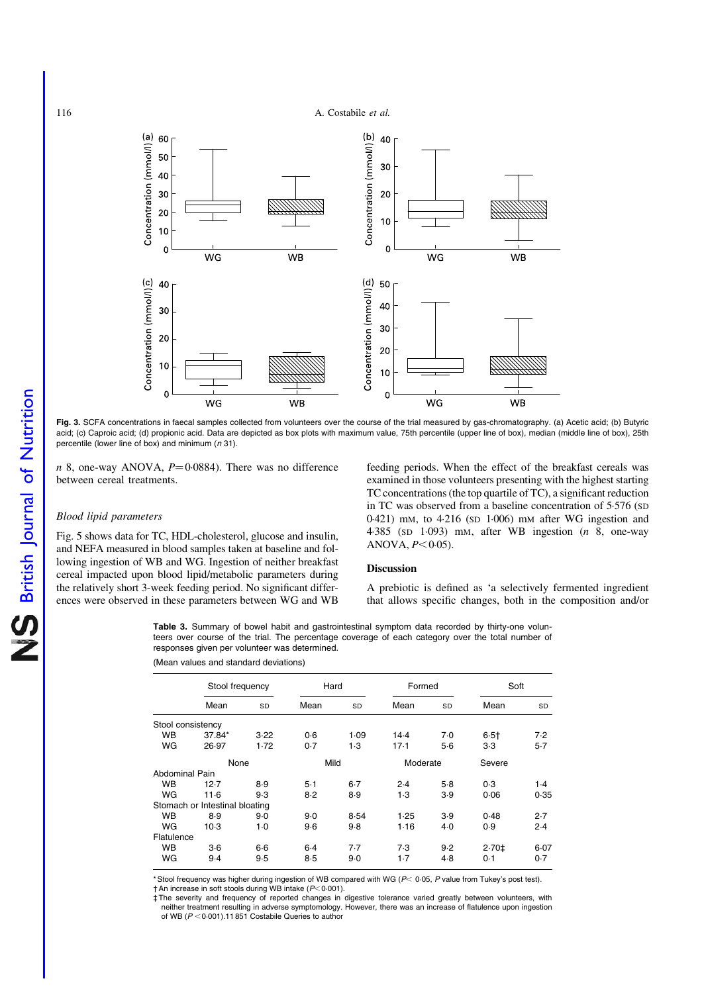116 A. Costabile et al.



Fig. 3. SCFA concentrations in faecal samples collected from volunteers over the course of the trial measured by gas-chromatography. (a) Acetic acid; (b) Butyric acid; (c) Caproic acid; (d) propionic acid. Data are depicted as box plots with maximum value, 75th percentile (upper line of box), median (middle line of box), 25th percentile (lower line of box) and minimum  $(n 31)$ .

 $n$  8, one-way ANOVA,  $P=0.0884$ ). There was no difference between cereal treatments.

# Blood lipid parameters

Fig. 5 shows data for TC, HDL-cholesterol, glucose and insulin, and NEFA measured in blood samples taken at baseline and following ingestion of WB and WG. Ingestion of neither breakfast cereal impacted upon blood lipid/metabolic parameters during the relatively short 3-week feeding period. No significant differences were observed in these parameters between WG and WB

feeding periods. When the effect of the breakfast cereals was examined in those volunteers presenting with the highest starting TC concentrations (the top quartile of TC), a significant reduction in TC was observed from a baseline concentration of 5·576 (SD 0·421) mM, to 4·216 (SD 1·006) mM after WG ingestion and 4·385 (SD 1·093) mM, after WB ingestion (n 8, one-way ANOVA,  $P < 0.05$ ).

#### Discussion

A prebiotic is defined as 'a selectively fermented ingredient that allows specific changes, both in the composition and/or

Table 3. Summary of bowel habit and gastrointestinal symptom data recorded by thirty-one volunteers over course of the trial. The percentage coverage of each category over the total number of responses given per volunteer was determined. (Mean values and standard deviations)

|                   |                                | Stool frequency |       | Hard      | Formed   |           | Soft               |       |
|-------------------|--------------------------------|-----------------|-------|-----------|----------|-----------|--------------------|-------|
|                   | Mean                           | <b>SD</b>       | Mean  | <b>SD</b> | Mean     | <b>SD</b> | Mean               | SD    |
| Stool consistency |                                |                 |       |           |          |           |                    |       |
| <b>WB</b>         | $37.84*$                       | 3.22            | 0.6   | 1.09      | 14.4     | 7.0       | $6.5$ <sup>+</sup> | 7.2   |
| WG                | 26.97                          | 1.72            | 0.7   | $1-3$     | 17.1     | 5.6       | 3.3                | $5-7$ |
|                   | None                           |                 | Mild  |           | Moderate |           | Severe             |       |
| Abdominal Pain    |                                |                 |       |           |          |           |                    |       |
| <b>WB</b>         | 12.7                           | 8.9             | $5-1$ | $6 - 7$   | 2.4      | $5-8$     | 0.3                | 1.4   |
| WG                | $11-6$                         | 9.3             | 8.2   | 8.9       | 1.3      | 3.9       | 0.06               | 0.35  |
|                   | Stomach or Intestinal bloating |                 |       |           |          |           |                    |       |
| <b>WB</b>         | 8.9                            | 9.0             | 9.0   | 8.54      | 1.25     | 3.9       | 0.48               | 2.7   |
| WG                | $10-3$                         | $1-0$           | $9-6$ | 9.8       | 1.16     | 4.0       | 0.9                | 2.4   |
| Flatulence        |                                |                 |       |           |          |           |                    |       |
| <b>WB</b>         | $3-6$                          | $6-6$           | $6-4$ | 7.7       | 7.3      | 9.2       | $2.70+$            | 6.07  |
| WG                | 9.4                            | 9.5             | 8.5   | 9.0       | $1-7$    | 4.8       | 0.1                | 0.7   |

\* Stool frequency was higher during ingestion of WB compared with WG (P< 0.05, P value from Tukey's post test).  $\dagger$  An increase in soft stools during WB intake ( $P$ <0.001).

‡ The severity and frequency of reported changes in digestive tolerance varied greatly between volunteers, with neither treatment resulting in adverse symptomology. However, there was an increase of flatulence upon ingestion of WB  $(P < 0.001)$ .11 851 Costabile Queries to author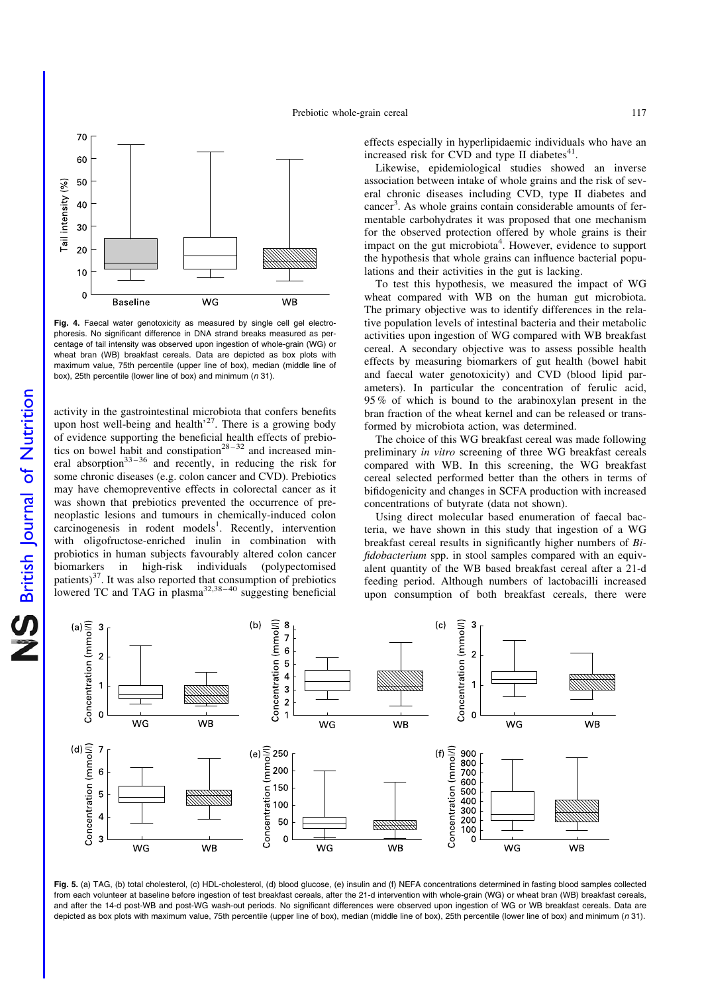

Fig. 4. Faecal water genotoxicity as measured by single cell gel electrophoresis. No significant difference in DNA strand breaks measured as percentage of tail intensity was observed upon ingestion of whole-grain (WG) or wheat bran (WB) breakfast cereals. Data are depicted as box plots with maximum value, 75th percentile (upper line of box), median (middle line of box), 25th percentile (lower line of box) and minimum (n 31).

activity in the gastrointestinal microbiota that confers benefits upon host well-being and health<sup>27</sup>. There is a growing body of evidence supporting the beneficial health effects of prebiotics on bowel habit and constipation<sup>28–32</sup> and increased mineral absorption $33-36$  and recently, in reducing the risk for some chronic diseases (e.g. colon cancer and CVD). Prebiotics may have chemopreventive effects in colorectal cancer as it was shown that prebiotics prevented the occurrence of preneoplastic lesions and tumours in chemically-induced colon carcinogenesis in rodent models<sup>1</sup>. Recently, intervention with oligofructose-enriched inulin in combination with probiotics in human subjects favourably altered colon cancer biomarkers in high-risk individuals (polypectomised patients) $37$ . It was also reported that consumption of prebiotics lowered TC and TAG in plasma $32,38-40$  suggesting beneficial

effects especially in hyperlipidaemic individuals who have an increased risk for CVD and type II diabetes $41$ .

Likewise, epidemiological studies showed an inverse association between intake of whole grains and the risk of several chronic diseases including CVD, type II diabetes and cancer<sup>3</sup>. As whole grains contain considerable amounts of fermentable carbohydrates it was proposed that one mechanism for the observed protection offered by whole grains is their impact on the gut microbiota<sup>4</sup>. However, evidence to support the hypothesis that whole grains can influence bacterial populations and their activities in the gut is lacking.

To test this hypothesis, we measured the impact of WG wheat compared with WB on the human gut microbiota. The primary objective was to identify differences in the relative population levels of intestinal bacteria and their metabolic activities upon ingestion of WG compared with WB breakfast cereal. A secondary objective was to assess possible health effects by measuring biomarkers of gut health (bowel habit and faecal water genotoxicity) and CVD (blood lipid parameters). In particular the concentration of ferulic acid, 95 % of which is bound to the arabinoxylan present in the bran fraction of the wheat kernel and can be released or transformed by microbiota action, was determined.

The choice of this WG breakfast cereal was made following preliminary in vitro screening of three WG breakfast cereals compared with WB. In this screening, the WG breakfast cereal selected performed better than the others in terms of bifidogenicity and changes in SCFA production with increased concentrations of butyrate (data not shown).

Using direct molecular based enumeration of faecal bacteria, we have shown in this study that ingestion of a WG breakfast cereal results in significantly higher numbers of Bifidobacterium spp. in stool samples compared with an equivalent quantity of the WB based breakfast cereal after a 21-d feeding period. Although numbers of lactobacilli increased upon consumption of both breakfast cereals, there were



Fig. 5. (a) TAG, (b) total cholesterol, (c) HDL-cholesterol, (d) blood glucose, (e) insulin and (f) NEFA concentrations determined in fasting blood samples collected from each volunteer at baseline before ingestion of test breakfast cereals, after the 21-d intervention with whole-grain (WG) or wheat bran (WB) breakfast cereals and after the 14-d post-WB and post-WG wash-out periods. No significant differences were observed upon ingestion of WG or WB breakfast cereals. Data are depicted as box plots with maximum value, 75th percentile (upper line of box), median (middle line of box), 25th percentile (lower line of box) and minimum (n 31).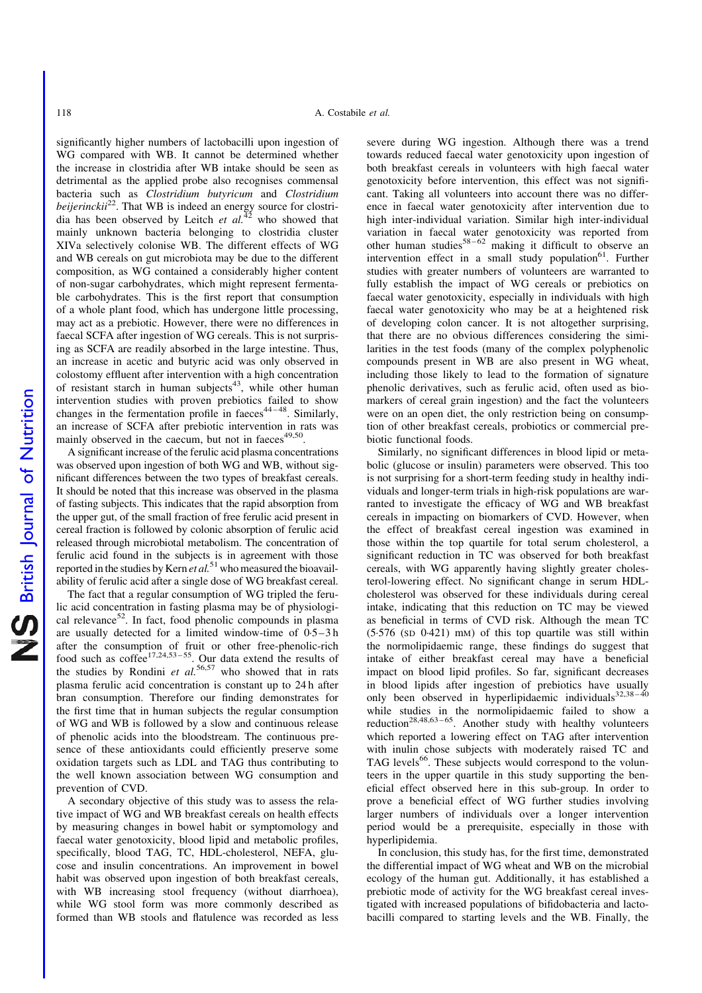significantly higher numbers of lactobacilli upon ingestion of WG compared with WB. It cannot be determined whether the increase in clostridia after WB intake should be seen as detrimental as the applied probe also recognises commensal bacteria such as Clostridium butyricum and Clostridium beijerinckii $^{22}$ . That WB is indeed an energy source for clostridia has been observed by Leitch et  $al^{42}$  who showed that mainly unknown bacteria belonging to clostridia cluster XIVa selectively colonise WB. The different effects of WG and WB cereals on gut microbiota may be due to the different composition, as WG contained a considerably higher content of non-sugar carbohydrates, which might represent fermentable carbohydrates. This is the first report that consumption of a whole plant food, which has undergone little processing, may act as a prebiotic. However, there were no differences in faecal SCFA after ingestion of WG cereals. This is not surprising as SCFA are readily absorbed in the large intestine. Thus, an increase in acetic and butyric acid was only observed in colostomy effluent after intervention with a high concentration of resistant starch in human subjects<sup>43</sup>, while other human intervention studies with proven prebiotics failed to show changes in the fermentation profile in faeces<sup>44-48</sup>. Similarly, an increase of SCFA after prebiotic intervention in rats was mainly observed in the caecum, but not in faeces<sup>49,50</sup>

A significant increase of the ferulic acid plasma concentrations was observed upon ingestion of both WG and WB, without significant differences between the two types of breakfast cereals. It should be noted that this increase was observed in the plasma of fasting subjects. This indicates that the rapid absorption from the upper gut, of the small fraction of free ferulic acid present in cereal fraction is followed by colonic absorption of ferulic acid released through microbiotal metabolism. The concentration of ferulic acid found in the subjects is in agreement with those reported in the studies by Kern et  $al$ <sup>51</sup> who measured the bioavailability of ferulic acid after a single dose of WG breakfast cereal.

The fact that a regular consumption of WG tripled the ferulic acid concentration in fasting plasma may be of physiological relevance<sup>52</sup>. In fact, food phenolic compounds in plasma are usually detected for a limited window-time of  $0.5-3h$ after the consumption of fruit or other free-phenolic-rich food such as coffee<sup>17,24,53-55</sup>. Our data extend the results of the studies by Rondini et  $al^{56,57}$  who showed that in rats plasma ferulic acid concentration is constant up to 24 h after bran consumption. Therefore our finding demonstrates for the first time that in human subjects the regular consumption of WG and WB is followed by a slow and continuous release of phenolic acids into the bloodstream. The continuous presence of these antioxidants could efficiently preserve some oxidation targets such as LDL and TAG thus contributing to the well known association between WG consumption and prevention of CVD.

A secondary objective of this study was to assess the relative impact of WG and WB breakfast cereals on health effects by measuring changes in bowel habit or symptomology and faecal water genotoxicity, blood lipid and metabolic profiles, specifically, blood TAG, TC, HDL-cholesterol, NEFA, glucose and insulin concentrations. An improvement in bowel habit was observed upon ingestion of both breakfast cereals, with WB increasing stool frequency (without diarrhoea), while WG stool form was more commonly described as formed than WB stools and flatulence was recorded as less

severe during WG ingestion. Although there was a trend towards reduced faecal water genotoxicity upon ingestion of both breakfast cereals in volunteers with high faecal water genotoxicity before intervention, this effect was not significant. Taking all volunteers into account there was no difference in faecal water genotoxicity after intervention due to high inter-individual variation. Similar high inter-individual variation in faecal water genotoxicity was reported from other human studies<sup>58-62</sup> making it difficult to observe an intervention effect in a small study population<sup>61</sup>. Further studies with greater numbers of volunteers are warranted to fully establish the impact of WG cereals or prebiotics on faecal water genotoxicity, especially in individuals with high faecal water genotoxicity who may be at a heightened risk of developing colon cancer. It is not altogether surprising, that there are no obvious differences considering the similarities in the test foods (many of the complex polyphenolic compounds present in WB are also present in WG wheat, including those likely to lead to the formation of signature phenolic derivatives, such as ferulic acid, often used as biomarkers of cereal grain ingestion) and the fact the volunteers were on an open diet, the only restriction being on consumption of other breakfast cereals, probiotics or commercial prebiotic functional foods.

Similarly, no significant differences in blood lipid or metabolic (glucose or insulin) parameters were observed. This too is not surprising for a short-term feeding study in healthy individuals and longer-term trials in high-risk populations are warranted to investigate the efficacy of WG and WB breakfast cereals in impacting on biomarkers of CVD. However, when the effect of breakfast cereal ingestion was examined in those within the top quartile for total serum cholesterol, a significant reduction in TC was observed for both breakfast cereals, with WG apparently having slightly greater cholesterol-lowering effect. No significant change in serum HDLcholesterol was observed for these individuals during cereal intake, indicating that this reduction on TC may be viewed as beneficial in terms of CVD risk. Although the mean TC  $(5.576$  (SD  $0.421$ ) mM) of this top quartile was still within the normolipidaemic range, these findings do suggest that intake of either breakfast cereal may have a beneficial impact on blood lipid profiles. So far, significant decreases in blood lipids after ingestion of prebiotics have usually only been observed in hyperlipidaemic individuals $32,38-40$ while studies in the normolipidaemic failed to show a reduction<sup>28,48,63-65</sup>. Another study with healthy volunteers which reported a lowering effect on TAG after intervention with inulin chose subjects with moderately raised TC and TAG levels<sup>66</sup>. These subjects would correspond to the volunteers in the upper quartile in this study supporting the beneficial effect observed here in this sub-group. In order to prove a beneficial effect of WG further studies involving larger numbers of individuals over a longer intervention period would be a prerequisite, especially in those with hyperlipidemia.

In conclusion, this study has, for the first time, demonstrated the differential impact of WG wheat and WB on the microbial ecology of the human gut. Additionally, it has established a prebiotic mode of activity for the WG breakfast cereal investigated with increased populations of bifidobacteria and lactobacilli compared to starting levels and the WB. Finally, the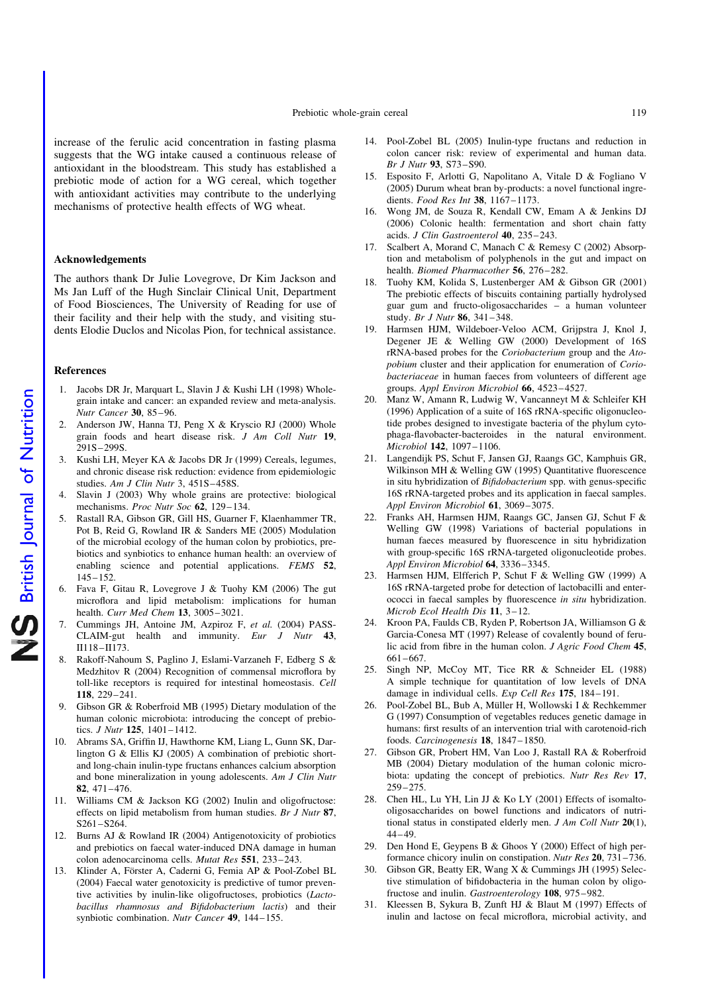increase of the ferulic acid concentration in fasting plasma suggests that the WG intake caused a continuous release of antioxidant in the bloodstream. This study has established a prebiotic mode of action for a WG cereal, which together with antioxidant activities may contribute to the underlying mechanisms of protective health effects of WG wheat.

#### Acknowledgements

The authors thank Dr Julie Lovegrove, Dr Kim Jackson and Ms Jan Luff of the Hugh Sinclair Clinical Unit, Department of Food Biosciences, The University of Reading for use of their facility and their help with the study, and visiting students Elodie Duclos and Nicolas Pion, for technical assistance.

# References

- 1. Jacobs DR Jr, Marquart L, Slavin J & Kushi LH (1998) Wholegrain intake and cancer: an expanded review and meta-analysis. Nutr Cancer 30, 85 –96.
- 2. Anderson JW, Hanna TJ, Peng X & Kryscio RJ (2000) Whole grain foods and heart disease risk. J Am Coll Nutr 19, 291S – 299S.
- Kushi LH, Meyer KA & Jacobs DR Jr (1999) Cereals, legumes, and chronic disease risk reduction: evidence from epidemiologic studies. Am J Clin Nutr 3, 451S-458S.
- Slavin J (2003) Why whole grains are protective: biological mechanisms. Proc Nutr Soc 62, 129-134.
- 5. Rastall RA, Gibson GR, Gill HS, Guarner F, Klaenhammer TR, Pot B, Reid G, Rowland IR & Sanders ME (2005) Modulation of the microbial ecology of the human colon by probiotics, prebiotics and synbiotics to enhance human health: an overview of enabling science and potential applications. FEMS 52,  $145 - 152$ .
- 6. Fava F, Gitau R, Lovegrove J & Tuohy KM (2006) The gut microflora and lipid metabolism: implications for human health. Curr Med Chem 13, 3005-3021.
- 7. Cummings JH, Antoine JM, Azpiroz F, et al. (2004) PASS-CLAIM-gut health and immunity. Eur J Nutr 43, II118 – II173.
- 8. Rakoff-Nahoum S, Paglino J, Eslami-Varzaneh F, Edberg S & Medzhitov R (2004) Recognition of commensal microflora by toll-like receptors is required for intestinal homeostasis. Cell 118, 229 – 241.
- 9. Gibson GR & Roberfroid MB (1995) Dietary modulation of the human colonic microbiota: introducing the concept of prebiotics. J Nutr 125, 1401– 1412.
- 10. Abrams SA, Griffin IJ, Hawthorne KM, Liang L, Gunn SK, Darlington G & Ellis KJ (2005) A combination of prebiotic shortand long-chain inulin-type fructans enhances calcium absorption and bone mineralization in young adolescents. Am J Clin Nutr 82, 471 –476.
- 11. Williams CM & Jackson KG (2002) Inulin and oligofructose: effects on lipid metabolism from human studies. Br J Nutr 87, S261 –S264.
- 12. Burns AJ & Rowland IR (2004) Antigenotoxicity of probiotics and prebiotics on faecal water-induced DNA damage in human colon adenocarcinoma cells. Mutat Res 551, 233-243.
- 13. Klinder A, Förster A, Caderni G, Femia AP & Pool-Zobel BL (2004) Faecal water genotoxicity is predictive of tumor preventive activities by inulin-like oligofructoses, probiotics (Lactobacillus rhamnosus and Bifidobacterium lactis) and their synbiotic combination. Nutr Cancer 49, 144-155.
- 14. Pool-Zobel BL (2005) Inulin-type fructans and reduction in colon cancer risk: review of experimental and human data. Br J Nutr 93, S73 –S90.
- 15. Esposito F, Arlotti G, Napolitano A, Vitale D & Fogliano V (2005) Durum wheat bran by-products: a novel functional ingredients. Food Res Int 38, 1167-1173.
- 16. Wong JM, de Souza R, Kendall CW, Emam A & Jenkins DJ (2006) Colonic health: fermentation and short chain fatty acids. J Clin Gastroenterol 40, 235-243.
- 17. Scalbert A, Morand C, Manach C & Remesy C (2002) Absorption and metabolism of polyphenols in the gut and impact on health. Biomed Pharmacother 56, 276-282.
- 18. Tuohy KM, Kolida S, Lustenberger AM & Gibson GR (2001) The prebiotic effects of biscuits containing partially hydrolysed guar gum and fructo-oligosaccharides – a human volunteer study. Br J Nutr 86, 341 – 348.
- 19. Harmsen HJM, Wildeboer-Veloo ACM, Grijpstra J, Knol J, Degener JE & Welling GW (2000) Development of 16S rRNA-based probes for the Coriobacterium group and the Atopobium cluster and their application for enumeration of Coriobacteriaceae in human faeces from volunteers of different age groups. Appl Environ Microbiol 66, 4523 – 4527.
- 20. Manz W, Amann R, Ludwig W, Vancanneyt M & Schleifer KH (1996) Application of a suite of 16S rRNA-specific oligonucleotide probes designed to investigate bacteria of the phylum cytophaga-flavobacter-bacteroides in the natural environment. Microbiol 142, 1097-1106.
- 21. Langendijk PS, Schut F, Jansen GJ, Raangs GC, Kamphuis GR, Wilkinson MH & Welling GW (1995) Quantitative fluorescence in situ hybridization of Bifidobacterium spp. with genus-specific 16S rRNA-targeted probes and its application in faecal samples. Appl Environ Microbiol 61, 3069-3075.
- 22. Franks AH, Harmsen HJM, Raangs GC, Jansen GJ, Schut F & Welling GW (1998) Variations of bacterial populations in human faeces measured by fluorescence in situ hybridization with group-specific 16S rRNA-targeted oligonucleotide probes. Appl Environ Microbiol 64, 3336-3345.
- 23. Harmsen HJM, Elfferich P, Schut F & Welling GW (1999) A 16S rRNA-targeted probe for detection of lactobacilli and enterococci in faecal samples by fluorescence in situ hybridization. Microb Ecol Health Dis 11, 3-12.
- 24. Kroon PA, Faulds CB, Ryden P, Robertson JA, Williamson G & Garcia-Conesa MT (1997) Release of covalently bound of ferulic acid from fibre in the human colon. *J Agric Food Chem* 45, 661 –667.
- 25. Singh NP, McCoy MT, Tice RR & Schneider EL (1988) A simple technique for quantitation of low levels of DNA damage in individual cells. Exp Cell Res 175, 184-191.
- 26. Pool-Zobel BL, Bub A, Müller H, Wollowski I & Rechkemmer G (1997) Consumption of vegetables reduces genetic damage in humans: first results of an intervention trial with carotenoid-rich foods. Carcinogenesis 18, 1847-1850.
- 27. Gibson GR, Probert HM, Van Loo J, Rastall RA & Roberfroid MB (2004) Dietary modulation of the human colonic microbiota: updating the concept of prebiotics. Nutr Res Rev 17, 259 –275.
- 28. Chen HL, Lu YH, Lin JJ & Ko LY (2001) Effects of isomaltooligosaccharides on bowel functions and indicators of nutritional status in constipated elderly men.  $J Am$  Coll Nutr  $20(1)$ ,  $44 - 49.$
- 29. Den Hond E, Geypens B & Ghoos Y (2000) Effect of high performance chicory inulin on constipation. Nutr Res 20, 731-736.
- 30. Gibson GR, Beatty ER, Wang X & Cummings JH (1995) Selective stimulation of bifidobacteria in the human colon by oligofructose and inulin. Gastroenterology 108, 975-982.
- 31. Kleessen B, Sykura B, Zunft HJ & Blaut M (1997) Effects of inulin and lactose on fecal microflora, microbial activity, and